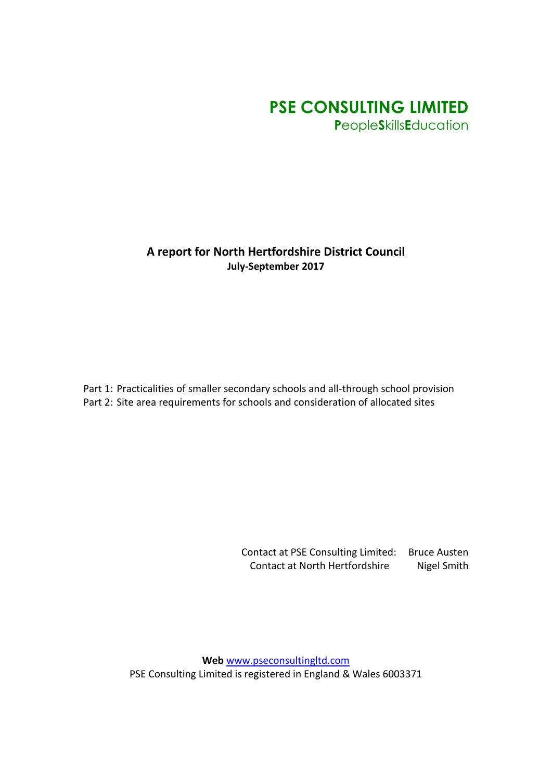# **PSE CONSULTING LIMITED P**eople**S**kills**E**ducation

**A report for North Hertfordshire District Council July-September 2017**

Part 1: Practicalities of smaller secondary schools and all-through school provision Part 2: Site area requirements for schools and consideration of allocated sites

> Contact at PSE Consulting Limited: Bruce Austen Contact at North Hertfordshire Nigel Smith

**Web** [www.pseconsultingltd.com](http://www.pseconsultingltd.com/) PSE Consulting Limited is registered in England & Wales 6003371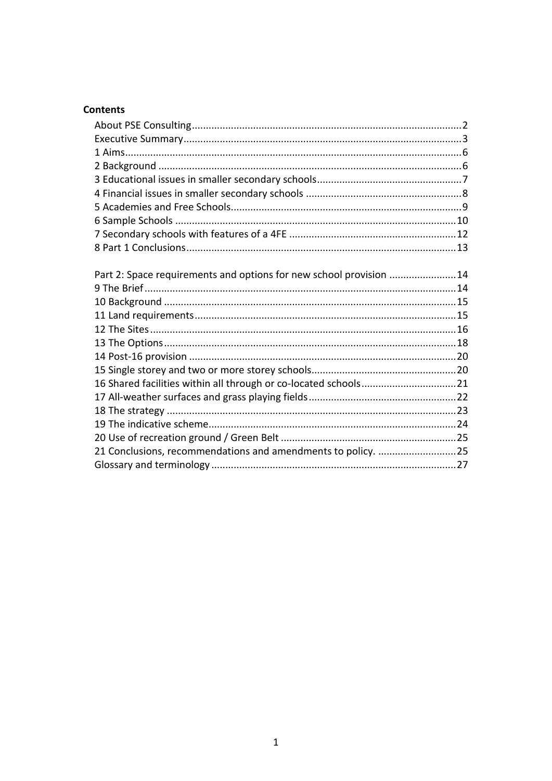# Contents

| Part 2: Space requirements and options for new school provision 14 |  |
|--------------------------------------------------------------------|--|
|                                                                    |  |
|                                                                    |  |
|                                                                    |  |
|                                                                    |  |
|                                                                    |  |
|                                                                    |  |
|                                                                    |  |
|                                                                    |  |
|                                                                    |  |
|                                                                    |  |
|                                                                    |  |
|                                                                    |  |
| 21 Conclusions, recommendations and amendments to policy. 25       |  |
|                                                                    |  |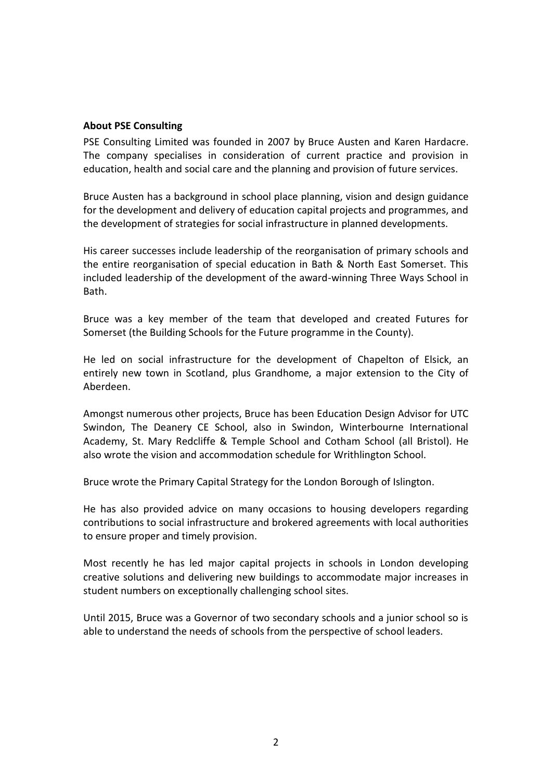#### <span id="page-2-0"></span>**About PSE Consulting**

PSE Consulting Limited was founded in 2007 by Bruce Austen and Karen Hardacre. The company specialises in consideration of current practice and provision in education, health and social care and the planning and provision of future services.

Bruce Austen has a background in school place planning, vision and design guidance for the development and delivery of education capital projects and programmes, and the development of strategies for social infrastructure in planned developments.

His career successes include leadership of the reorganisation of primary schools and the entire reorganisation of special education in Bath & North East Somerset. This included leadership of the development of the award-winning Three Ways School in **Bath** 

Bruce was a key member of the team that developed and created Futures for Somerset (the Building Schools for the Future programme in the County).

He led on social infrastructure for the development of Chapelton of Elsick, an entirely new town in Scotland, plus Grandhome, a major extension to the City of Aberdeen.

Amongst numerous other projects, Bruce has been Education Design Advisor for UTC Swindon, The Deanery CE School, also in Swindon, Winterbourne International Academy, St. Mary Redcliffe & Temple School and Cotham School (all Bristol). He also wrote the vision and accommodation schedule for Writhlington School.

Bruce wrote the Primary Capital Strategy for the London Borough of Islington.

He has also provided advice on many occasions to housing developers regarding contributions to social infrastructure and brokered agreements with local authorities to ensure proper and timely provision.

Most recently he has led major capital projects in schools in London developing creative solutions and delivering new buildings to accommodate major increases in student numbers on exceptionally challenging school sites.

Until 2015, Bruce was a Governor of two secondary schools and a junior school so is able to understand the needs of schools from the perspective of school leaders.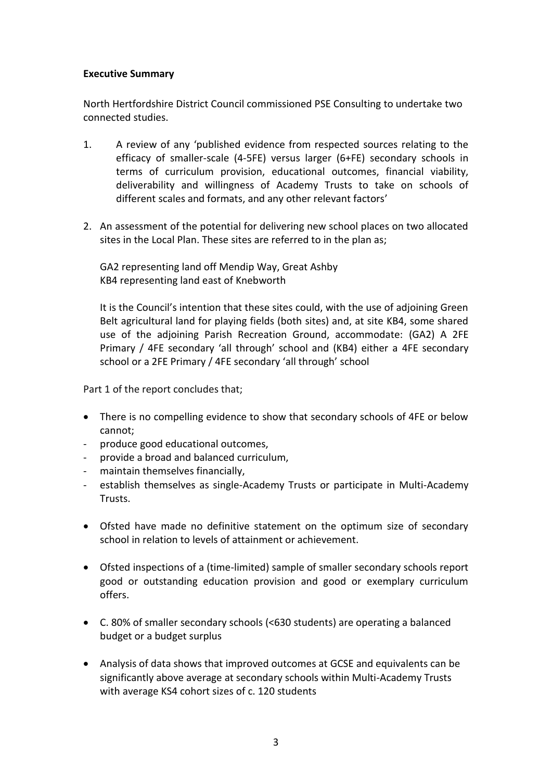### <span id="page-3-0"></span>**Executive Summary**

North Hertfordshire District Council commissioned PSE Consulting to undertake two connected studies.

- 1. A review of any 'published evidence from respected sources relating to the efficacy of smaller-scale (4-5FE) versus larger (6+FE) secondary schools in terms of curriculum provision, educational outcomes, financial viability, deliverability and willingness of Academy Trusts to take on schools of different scales and formats, and any other relevant factors'
- 2. An assessment of the potential for delivering new school places on two allocated sites in the Local Plan. These sites are referred to in the plan as;

GA2 representing land off Mendip Way, Great Ashby KB4 representing land east of Knebworth

It is the Council's intention that these sites could, with the use of adjoining Green Belt agricultural land for playing fields (both sites) and, at site KB4, some shared use of the adjoining Parish Recreation Ground, accommodate: (GA2) A 2FE Primary / 4FE secondary 'all through' school and (KB4) either a 4FE secondary school or a 2FE Primary / 4FE secondary 'all through' school

Part 1 of the report concludes that;

- There is no compelling evidence to show that secondary schools of 4FE or below cannot;
- produce good educational outcomes,
- provide a broad and balanced curriculum,
- maintain themselves financially,
- establish themselves as single-Academy Trusts or participate in Multi-Academy Trusts.
- Ofsted have made no definitive statement on the optimum size of secondary school in relation to levels of attainment or achievement.
- Ofsted inspections of a (time-limited) sample of smaller secondary schools report good or outstanding education provision and good or exemplary curriculum offers.
- C. 80% of smaller secondary schools (<630 students) are operating a balanced budget or a budget surplus
- Analysis of data shows that improved outcomes at GCSE and equivalents can be significantly above average at secondary schools within Multi-Academy Trusts with average KS4 cohort sizes of c. 120 students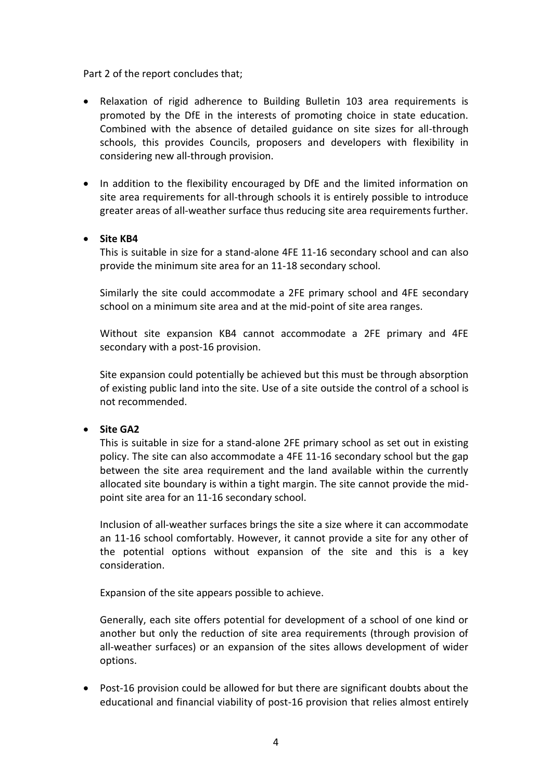#### Part 2 of the report concludes that;

- Relaxation of rigid adherence to Building Bulletin 103 area requirements is promoted by the DfE in the interests of promoting choice in state education. Combined with the absence of detailed guidance on site sizes for all-through schools, this provides Councils, proposers and developers with flexibility in considering new all-through provision.
- In addition to the flexibility encouraged by DfE and the limited information on site area requirements for all-through schools it is entirely possible to introduce greater areas of all-weather surface thus reducing site area requirements further.

### **•** Site KB4

This is suitable in size for a stand-alone 4FE 11-16 secondary school and can also provide the minimum site area for an 11-18 secondary school.

Similarly the site could accommodate a 2FE primary school and 4FE secondary school on a minimum site area and at the mid-point of site area ranges.

Without site expansion KB4 cannot accommodate a 2FE primary and 4FE secondary with a post-16 provision.

Site expansion could potentially be achieved but this must be through absorption of existing public land into the site. Use of a site outside the control of a school is not recommended.

## **Site GA2**

This is suitable in size for a stand-alone 2FE primary school as set out in existing policy. The site can also accommodate a 4FE 11-16 secondary school but the gap between the site area requirement and the land available within the currently allocated site boundary is within a tight margin. The site cannot provide the midpoint site area for an 11-16 secondary school.

Inclusion of all-weather surfaces brings the site a size where it can accommodate an 11-16 school comfortably. However, it cannot provide a site for any other of the potential options without expansion of the site and this is a key consideration.

Expansion of the site appears possible to achieve.

Generally, each site offers potential for development of a school of one kind or another but only the reduction of site area requirements (through provision of all-weather surfaces) or an expansion of the sites allows development of wider options.

 Post-16 provision could be allowed for but there are significant doubts about the educational and financial viability of post-16 provision that relies almost entirely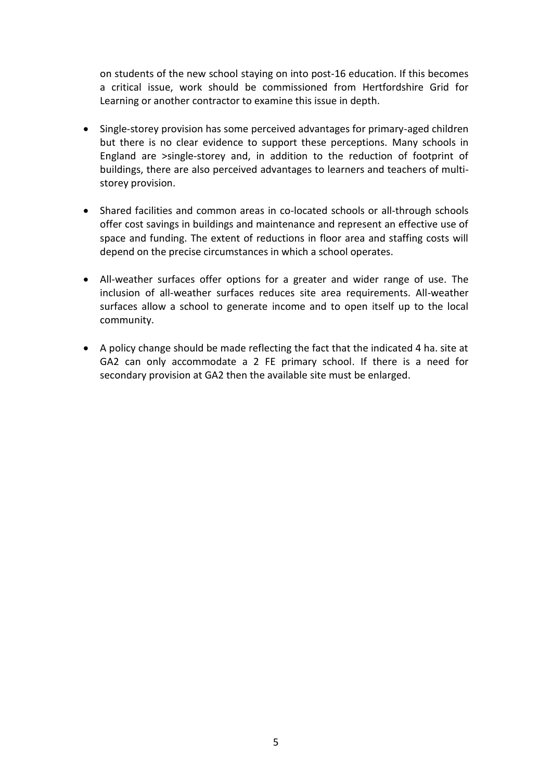on students of the new school staying on into post-16 education. If this becomes a critical issue, work should be commissioned from Hertfordshire Grid for Learning or another contractor to examine this issue in depth.

- Single-storey provision has some perceived advantages for primary-aged children but there is no clear evidence to support these perceptions. Many schools in England are >single-storey and, in addition to the reduction of footprint of buildings, there are also perceived advantages to learners and teachers of multistorey provision.
- Shared facilities and common areas in co-located schools or all-through schools offer cost savings in buildings and maintenance and represent an effective use of space and funding. The extent of reductions in floor area and staffing costs will depend on the precise circumstances in which a school operates.
- All-weather surfaces offer options for a greater and wider range of use. The inclusion of all-weather surfaces reduces site area requirements. All-weather surfaces allow a school to generate income and to open itself up to the local community.
- A policy change should be made reflecting the fact that the indicated 4 ha. site at GA2 can only accommodate a 2 FE primary school. If there is a need for secondary provision at GA2 then the available site must be enlarged.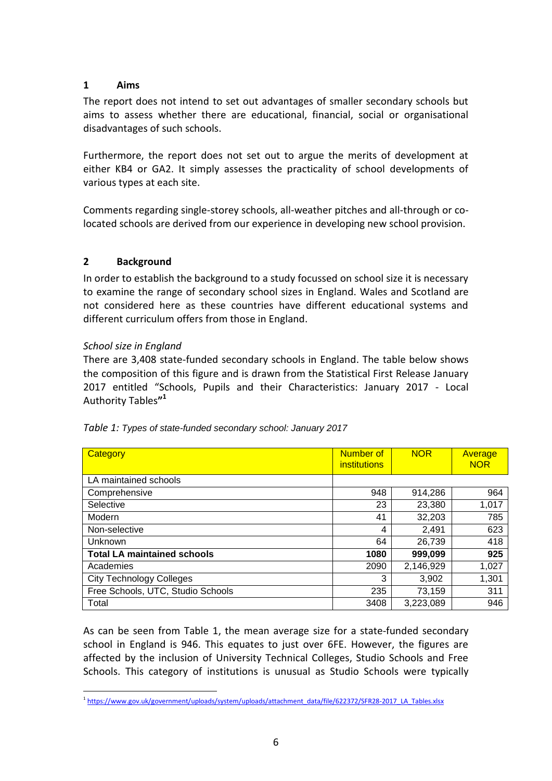### <span id="page-6-0"></span>**1 Aims**

The report does not intend to set out advantages of smaller secondary schools but aims to assess whether there are educational, financial, social or organisational disadvantages of such schools.

Furthermore, the report does not set out to argue the merits of development at either KB4 or GA2. It simply assesses the practicality of school developments of various types at each site.

Comments regarding single-storey schools, all-weather pitches and all-through or colocated schools are derived from our experience in developing new school provision.

## <span id="page-6-1"></span>**2 Background**

In order to establish the background to a study focussed on school size it is necessary to examine the range of secondary school sizes in England. Wales and Scotland are not considered here as these countries have different educational systems and different curriculum offers from those in England.

#### *School size in England*

There are 3,408 state-funded secondary schools in England. The table below shows the composition of this figure and is drawn from the Statistical First Release January 2017 entitled "Schools, Pupils and their Characteristics: January 2017 - Local Authority Tables**" 1**

| Category                           | Number of<br>institutions | <b>NOR</b> | Average<br><b>NOR</b> |
|------------------------------------|---------------------------|------------|-----------------------|
| LA maintained schools              |                           |            |                       |
| Comprehensive                      | 948                       | 914,286    | 964                   |
| Selective                          | 23                        | 23,380     | 1,017                 |
| Modern                             | 41                        | 32,203     | 785                   |
| Non-selective                      | 4                         | 2,491      | 623                   |
| Unknown                            | 64                        | 26,739     | 418                   |
| <b>Total LA maintained schools</b> | 1080                      | 999,099    | 925                   |
| Academies                          | 2090                      | 2,146,929  | 1,027                 |
| <b>City Technology Colleges</b>    | 3                         | 3,902      | 1,301                 |
| Free Schools, UTC, Studio Schools  | 235                       | 73,159     | 311                   |
| Total                              | 3408                      | 3,223,089  | 946                   |

|  |  | Table 1: Types of state-funded secondary school: January 2017 |
|--|--|---------------------------------------------------------------|
|  |  |                                                               |

As can be seen from Table 1, the mean average size for a state-funded secondary school in England is 946. This equates to just over 6FE. However, the figures are affected by the inclusion of University Technical Colleges, Studio Schools and Free Schools. This category of institutions is unusual as Studio Schools were typically

 $\overline{a}$ <sup>1</sup> [https://www.gov.uk/government/uploads/system/uploads/attachment\\_data/file/622372/SFR28-2017\\_LA\\_Tables.xlsx](https://www.gov.uk/government/uploads/system/uploads/attachment_data/file/622372/SFR28-2017_LA_Tables.xlsx)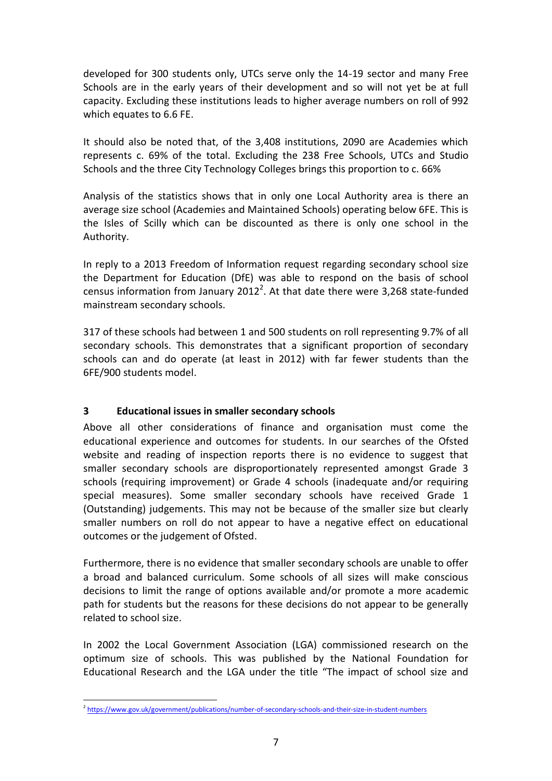developed for 300 students only, UTCs serve only the 14-19 sector and many Free Schools are in the early years of their development and so will not yet be at full capacity. Excluding these institutions leads to higher average numbers on roll of 992 which equates to 6.6 FE.

It should also be noted that, of the 3,408 institutions, 2090 are Academies which represents c. 69% of the total. Excluding the 238 Free Schools, UTCs and Studio Schools and the three City Technology Colleges brings this proportion to c. 66%

Analysis of the statistics shows that in only one Local Authority area is there an average size school (Academies and Maintained Schools) operating below 6FE. This is the Isles of Scilly which can be discounted as there is only one school in the Authority.

In reply to a 2013 Freedom of Information request regarding secondary school size the Department for Education (DfE) was able to respond on the basis of school census information from January 2012<sup>2</sup>. At that date there were 3,268 state-funded mainstream secondary schools.

317 of these schools had between 1 and 500 students on roll representing 9.7% of all secondary schools. This demonstrates that a significant proportion of secondary schools can and do operate (at least in 2012) with far fewer students than the 6FE/900 students model.

# <span id="page-7-0"></span>**3 Educational issues in smaller secondary schools**

Above all other considerations of finance and organisation must come the educational experience and outcomes for students. In our searches of the Ofsted website and reading of inspection reports there is no evidence to suggest that smaller secondary schools are disproportionately represented amongst Grade 3 schools (requiring improvement) or Grade 4 schools (inadequate and/or requiring special measures). Some smaller secondary schools have received Grade 1 (Outstanding) judgements. This may not be because of the smaller size but clearly smaller numbers on roll do not appear to have a negative effect on educational outcomes or the judgement of Ofsted.

Furthermore, there is no evidence that smaller secondary schools are unable to offer a broad and balanced curriculum. Some schools of all sizes will make conscious decisions to limit the range of options available and/or promote a more academic path for students but the reasons for these decisions do not appear to be generally related to school size.

In 2002 the Local Government Association (LGA) commissioned research on the optimum size of schools. This was published by the National Foundation for Educational Research and the LGA under the title "The impact of school size and

 $\overline{a}$ 2 <https://www.gov.uk/government/publications/number-of-secondary-schools-and-their-size-in-student-numbers>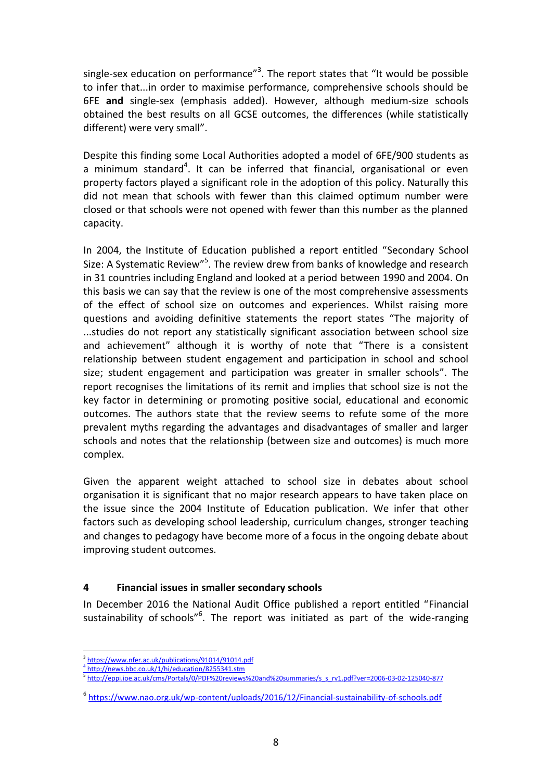single-sex education on performance"<sup>3</sup>. The report states that "It would be possible to infer that...in order to maximise performance, comprehensive schools should be 6FE **and** single-sex (emphasis added). However, although medium-size schools obtained the best results on all GCSE outcomes, the differences (while statistically different) were very small".

Despite this finding some Local Authorities adopted a model of 6FE/900 students as a minimum standard<sup>4</sup>. It can be inferred that financial, organisational or even property factors played a significant role in the adoption of this policy. Naturally this did not mean that schools with fewer than this claimed optimum number were closed or that schools were not opened with fewer than this number as the planned capacity.

In 2004, the Institute of Education published a report entitled "Secondary School Size: A Systematic Review"<sup>5</sup>. The review drew from banks of knowledge and research in 31 countries including England and looked at a period between 1990 and 2004. On this basis we can say that the review is one of the most comprehensive assessments of the effect of school size on outcomes and experiences. Whilst raising more questions and avoiding definitive statements the report states "The majority of ...studies do not report any statistically significant association between school size and achievement" although it is worthy of note that "There is a consistent relationship between student engagement and participation in school and school size; student engagement and participation was greater in smaller schools". The report recognises the limitations of its remit and implies that school size is not the key factor in determining or promoting positive social, educational and economic outcomes. The authors state that the review seems to refute some of the more prevalent myths regarding the advantages and disadvantages of smaller and larger schools and notes that the relationship (between size and outcomes) is much more complex.

Given the apparent weight attached to school size in debates about school organisation it is significant that no major research appears to have taken place on the issue since the 2004 Institute of Education publication. We infer that other factors such as developing school leadership, curriculum changes, stronger teaching and changes to pedagogy have become more of a focus in the ongoing debate about improving student outcomes.

## <span id="page-8-0"></span>**4 Financial issues in smaller secondary schools**

In December 2016 the National Audit Office published a report entitled "Financial sustainability of schools"<sup>6</sup>. The report was initiated as part of the wide-ranging

<sup>3</sup> <https://www.nfer.ac.uk/publications/91014/91014.pdf>

<sup>4</sup> <http://news.bbc.co.uk/1/hi/education/8255341.stm>

<sup>5</sup> [http://eppi.ioe.ac.uk/cms/Portals/0/PDF%20reviews%20and%20summaries/s\\_s\\_rv1.pdf?ver=2006-03-02-125040-877](http://eppi.ioe.ac.uk/cms/Portals/0/PDF%20reviews%20and%20summaries/s_s_rv1.pdf?ver=2006-03-02-125040-877)

<sup>&</sup>lt;sup>6</sup> <https://www.nao.org.uk/wp-content/uploads/2016/12/Financial-sustainability-of-schools.pdf>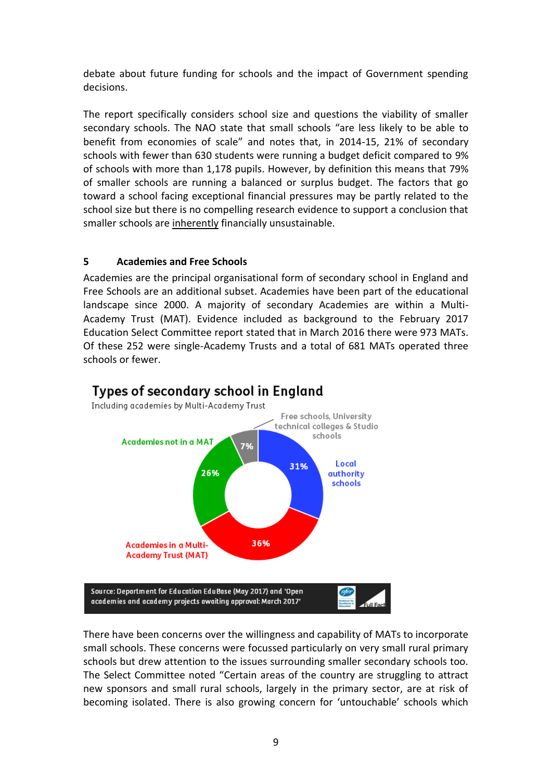debate about future funding for schools and the impact of Government spending decisions.

The report specifically considers school size and questions the viability of smaller secondary schools. The NAO state that small schools "are less likely to be able to benefit from economies of scale" and notes that, in 2014-15, 21% of secondary schools with fewer than 630 students were running a budget deficit compared to 9% of schools with more than 1,178 pupils. However, by definition this means that 79% of smaller schools are running a balanced or surplus budget. The factors that go toward a school facing exceptional financial pressures may be partly related to the school size but there is no compelling research evidence to support a conclusion that smaller schools are inherently financially unsustainable.

## <span id="page-9-0"></span>**5 Academies and Free Schools**

Academies are the principal organisational form of secondary school in England and Free Schools are an additional subset. Academies have been part of the educational landscape since 2000. A majority of secondary Academies are within a Multi-Academy Trust (MAT). Evidence included as background to the February 2017 Education Select Committee report stated that in March 2016 there were 973 MATs. Of these 252 were single-Academy Trusts and a total of 681 MATs operated three schools or fewer.



# Types of secondary school in England

There have been concerns over the willingness and capability of MATs to incorporate small schools. These concerns were focussed particularly on very small rural primary schools but drew attention to the issues surrounding smaller secondary schools too. The Select Committee noted "Certain areas of the country are struggling to attract new sponsors and small rural schools, largely in the primary sector, are at risk of becoming isolated. There is also growing concern for 'untouchable' schools which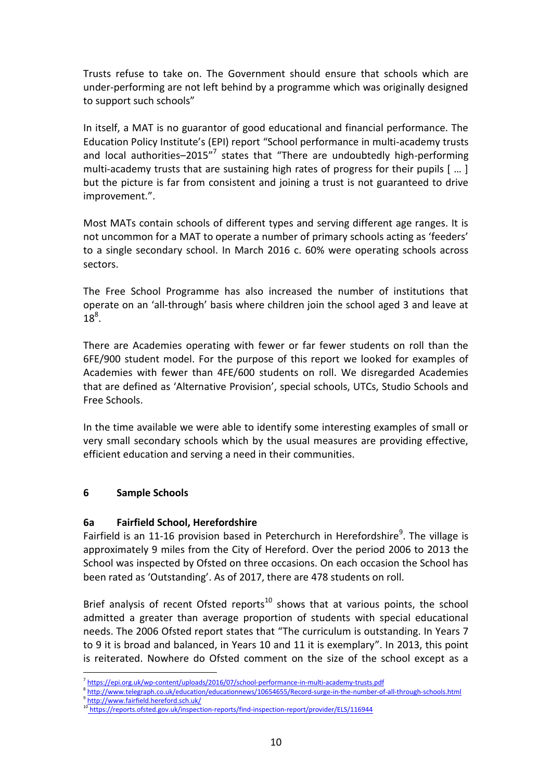Trusts refuse to take on. The Government should ensure that schools which are under-performing are not left behind by a programme which was originally designed to support such schools"

In itself, a MAT is no guarantor of good educational and financial performance. The Education Policy Institute's (EPI) report "School performance in multi-academy trusts and local authorities-2015"<sup>7</sup> states that "There are undoubtedly high-performing multi-academy trusts that are sustaining high rates of progress for their pupils [ … ] but the picture is far from consistent and joining a trust is not guaranteed to drive improvement.".

Most MATs contain schools of different types and serving different age ranges. It is not uncommon for a MAT to operate a number of primary schools acting as 'feeders' to a single secondary school. In March 2016 c. 60% were operating schools across sectors.

The Free School Programme has also increased the number of institutions that operate on an 'all-through' basis where children join the school aged 3 and leave at  $18^{8}$ .

There are Academies operating with fewer or far fewer students on roll than the 6FE/900 student model. For the purpose of this report we looked for examples of Academies with fewer than 4FE/600 students on roll. We disregarded Academies that are defined as 'Alternative Provision', special schools, UTCs, Studio Schools and Free Schools.

In the time available we were able to identify some interesting examples of small or very small secondary schools which by the usual measures are providing effective, efficient education and serving a need in their communities.

## <span id="page-10-0"></span>**6 Sample Schools**

 $\overline{a}$ 

## **6a Fairfield School, Herefordshire**

Fairfield is an 11-16 provision based in Peterchurch in Herefordshire<sup>9</sup>. The village is approximately 9 miles from the City of Hereford. Over the period 2006 to 2013 the School was inspected by Ofsted on three occasions. On each occasion the School has been rated as 'Outstanding'. As of 2017, there are 478 students on roll.

Brief analysis of recent Ofsted reports<sup>10</sup> shows that at various points, the school admitted a greater than average proportion of students with special educational needs. The 2006 Ofsted report states that "The curriculum is outstanding. In Years 7 to 9 it is broad and balanced, in Years 10 and 11 it is exemplary". In 2013, this point is reiterated. Nowhere do Ofsted comment on the size of the school except as a

<sup>7</sup> <https://epi.org.uk/wp-content/uploads/2016/07/school-performance-in-multi-academy-trusts.pdf>

<sup>8</sup> <http://www.telegraph.co.uk/education/educationnews/10654655/Record-surge-in-the-number-of-all-through-schools.html> 9 <http://www.fairfield.hereford.sch.uk/>

<sup>10</sup> <https://reports.ofsted.gov.uk/inspection-reports/find-inspection-report/provider/ELS/116944>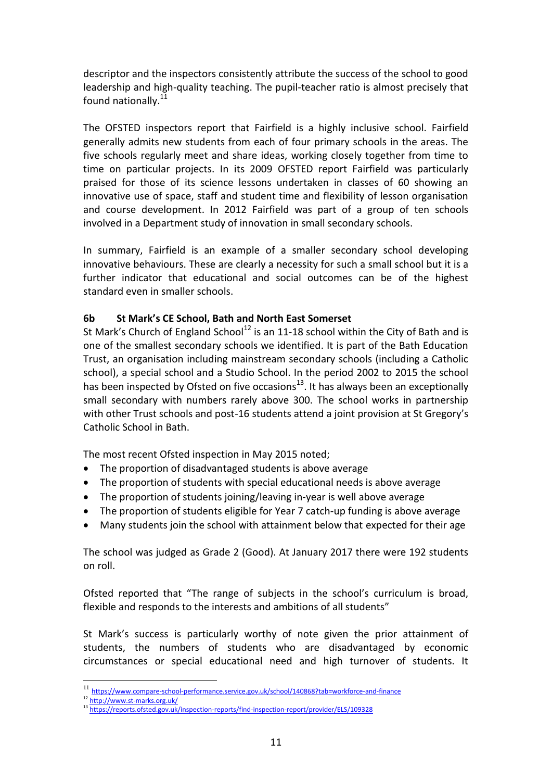descriptor and the inspectors consistently attribute the success of the school to good leadership and high-quality teaching. The pupil-teacher ratio is almost precisely that found nationally.<sup>11</sup>

The OFSTED inspectors report that Fairfield is a highly inclusive school. Fairfield generally admits new students from each of four primary schools in the areas. The five schools regularly meet and share ideas, working closely together from time to time on particular projects. In its 2009 OFSTED report Fairfield was particularly praised for those of its science lessons undertaken in classes of 60 showing an innovative use of space, staff and student time and flexibility of lesson organisation and course development. In 2012 Fairfield was part of a group of ten schools involved in a Department study of innovation in small secondary schools.

In summary, Fairfield is an example of a smaller secondary school developing innovative behaviours. These are clearly a necessity for such a small school but it is a further indicator that educational and social outcomes can be of the highest standard even in smaller schools.

## **6b St Mark's CE School, Bath and North East Somerset**

St Mark's Church of England School<sup>12</sup> is an 11-18 school within the City of Bath and is one of the smallest secondary schools we identified. It is part of the Bath Education Trust, an organisation including mainstream secondary schools (including a Catholic school), a special school and a Studio School. In the period 2002 to 2015 the school has been inspected by Ofsted on five occasions $^{13}$ . It has always been an exceptionally small secondary with numbers rarely above 300. The school works in partnership with other Trust schools and post-16 students attend a joint provision at St Gregory's Catholic School in Bath.

The most recent Ofsted inspection in May 2015 noted;

- The proportion of disadvantaged students is above average
- The proportion of students with special educational needs is above average
- The proportion of students joining/leaving in-year is well above average
- The proportion of students eligible for Year 7 catch-up funding is above average
- Many students join the school with attainment below that expected for their age

The school was judged as Grade 2 (Good). At January 2017 there were 192 students on roll.

Ofsted reported that "The range of subjects in the school's curriculum is broad, flexible and responds to the interests and ambitions of all students"

St Mark's success is particularly worthy of note given the prior attainment of students, the numbers of students who are disadvantaged by economic circumstances or special educational need and high turnover of students. It

<sup>11</sup> <https://www.compare-school-performance.service.gov.uk/school/140868?tab=workforce-and-finance>

<sup>12</sup> <http://www.st-marks.org.uk/>

<sup>13</sup> <https://reports.ofsted.gov.uk/inspection-reports/find-inspection-report/provider/ELS/109328>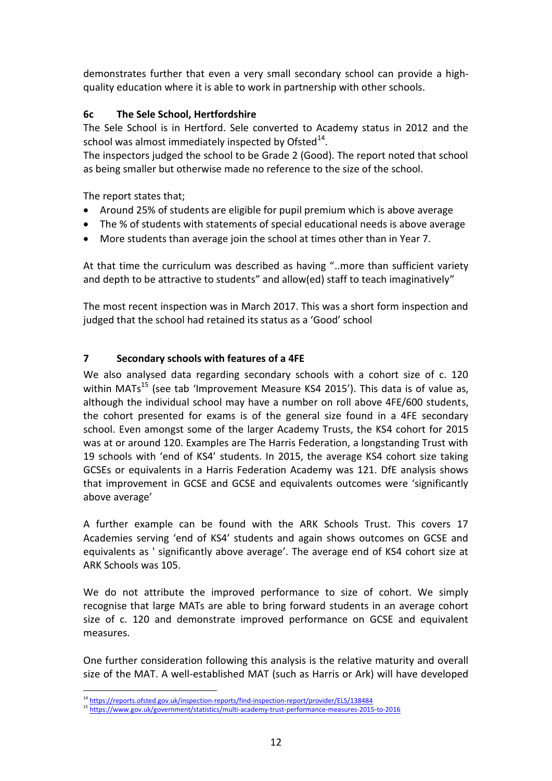demonstrates further that even a very small secondary school can provide a highquality education where it is able to work in partnership with other schools.

# **6c The Sele School, Hertfordshire**

The Sele School is in Hertford. Sele converted to Academy status in 2012 and the school was almost immediately inspected by Ofsted $^{14}$ .

The inspectors judged the school to be Grade 2 (Good). The report noted that school as being smaller but otherwise made no reference to the size of the school.

The report states that;

- Around 25% of students are eligible for pupil premium which is above average
- The % of students with statements of special educational needs is above average
- More students than average join the school at times other than in Year 7.

At that time the curriculum was described as having "..more than sufficient variety and depth to be attractive to students" and allow(ed) staff to teach imaginatively"

The most recent inspection was in March 2017. This was a short form inspection and judged that the school had retained its status as a 'Good' school

## <span id="page-12-0"></span>**7 Secondary schools with features of a 4FE**

We also analysed data regarding secondary schools with a cohort size of c. 120 within MATs<sup>15</sup> (see tab 'Improvement Measure KS4 2015'). This data is of value as, although the individual school may have a number on roll above 4FE/600 students, the cohort presented for exams is of the general size found in a 4FE secondary school. Even amongst some of the larger Academy Trusts, the KS4 cohort for 2015 was at or around 120. Examples are The Harris Federation, a longstanding Trust with 19 schools with 'end of KS4' students. In 2015, the average KS4 cohort size taking GCSEs or equivalents in a Harris Federation Academy was 121. DfE analysis shows that improvement in GCSE and GCSE and equivalents outcomes were 'significantly above average'

A further example can be found with the ARK Schools Trust. This covers 17 Academies serving 'end of KS4' students and again shows outcomes on GCSE and equivalents as ' significantly above average'. The average end of KS4 cohort size at ARK Schools was 105.

We do not attribute the improved performance to size of cohort. We simply recognise that large MATs are able to bring forward students in an average cohort size of c. 120 and demonstrate improved performance on GCSE and equivalent measures.

One further consideration following this analysis is the relative maturity and overall size of the MAT. A well-established MAT (such as Harris or Ark) will have developed

 $\overline{a}$ <sup>14</sup> <https://reports.ofsted.gov.uk/inspection-reports/find-inspection-report/provider/ELS/138484>

<sup>15</sup> <https://www.gov.uk/government/statistics/multi-academy-trust-performance-measures-2015-to-2016>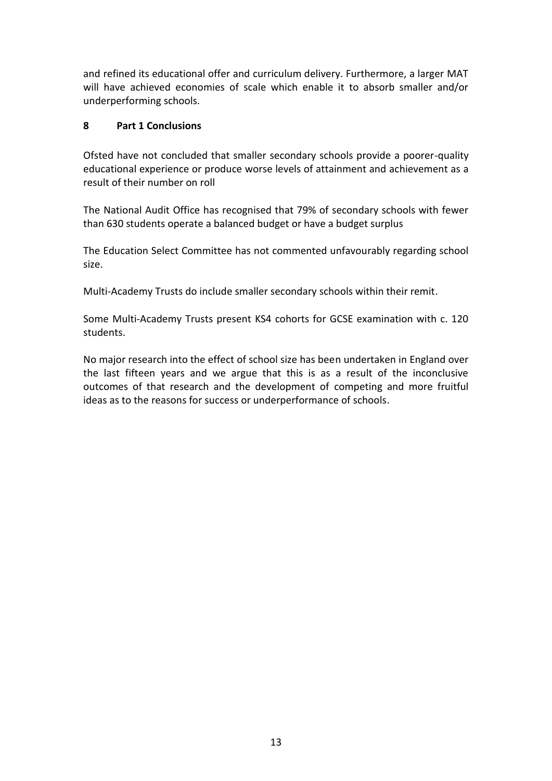and refined its educational offer and curriculum delivery. Furthermore, a larger MAT will have achieved economies of scale which enable it to absorb smaller and/or underperforming schools.

### <span id="page-13-0"></span>**8 Part 1 Conclusions**

Ofsted have not concluded that smaller secondary schools provide a poorer-quality educational experience or produce worse levels of attainment and achievement as a result of their number on roll

The National Audit Office has recognised that 79% of secondary schools with fewer than 630 students operate a balanced budget or have a budget surplus

The Education Select Committee has not commented unfavourably regarding school size.

Multi-Academy Trusts do include smaller secondary schools within their remit.

Some Multi-Academy Trusts present KS4 cohorts for GCSE examination with c. 120 students.

No major research into the effect of school size has been undertaken in England over the last fifteen years and we argue that this is as a result of the inconclusive outcomes of that research and the development of competing and more fruitful ideas as to the reasons for success or underperformance of schools.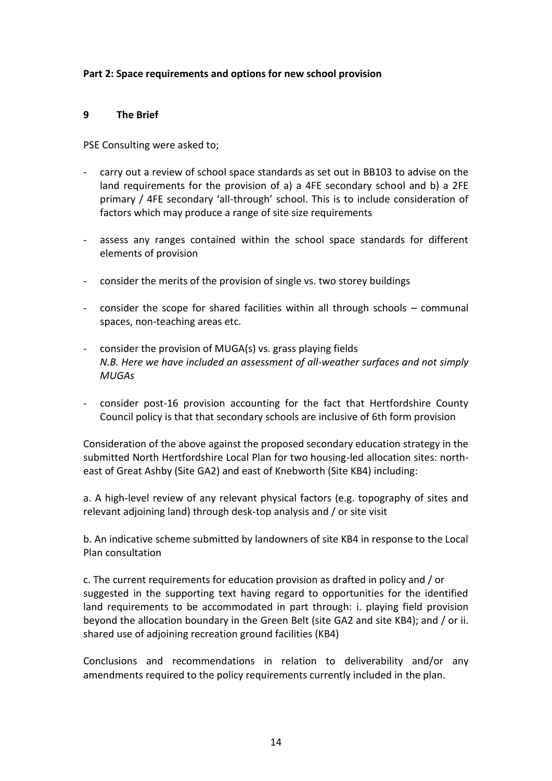### <span id="page-14-0"></span>**Part 2: Space requirements and options for new school provision**

#### <span id="page-14-1"></span>**9 The Brief**

PSE Consulting were asked to;

- carry out a review of school space standards as set out in BB103 to advise on the land requirements for the provision of a) a 4FE secondary school and b) a 2FE primary / 4FE secondary 'all-through' school. This is to include consideration of factors which may produce a range of site size requirements
- assess any ranges contained within the school space standards for different elements of provision
- consider the merits of the provision of single vs. two storey buildings
- consider the scope for shared facilities within all through schools communal spaces, non-teaching areas etc.
- consider the provision of MUGA(s) vs. grass playing fields *N.B. Here we have included an assessment of all-weather surfaces and not simply MUGAs*
- consider post-16 provision accounting for the fact that Hertfordshire County Council policy is that that secondary schools are inclusive of 6th form provision

Consideration of the above against the proposed secondary education strategy in the submitted North Hertfordshire Local Plan for two housing-led allocation sites: northeast of Great Ashby (Site GA2) and east of Knebworth (Site KB4) including:

a. A high-level review of any relevant physical factors (e.g. topography of sites and relevant adjoining land) through desk-top analysis and / or site visit

b. An indicative scheme submitted by landowners of site KB4 in response to the Local Plan consultation

c. The current requirements for education provision as drafted in policy and / or suggested in the supporting text having regard to opportunities for the identified land requirements to be accommodated in part through: i. playing field provision beyond the allocation boundary in the Green Belt (site GA2 and site KB4); and / or ii. shared use of adjoining recreation ground facilities (KB4)

Conclusions and recommendations in relation to deliverability and/or any amendments required to the policy requirements currently included in the plan.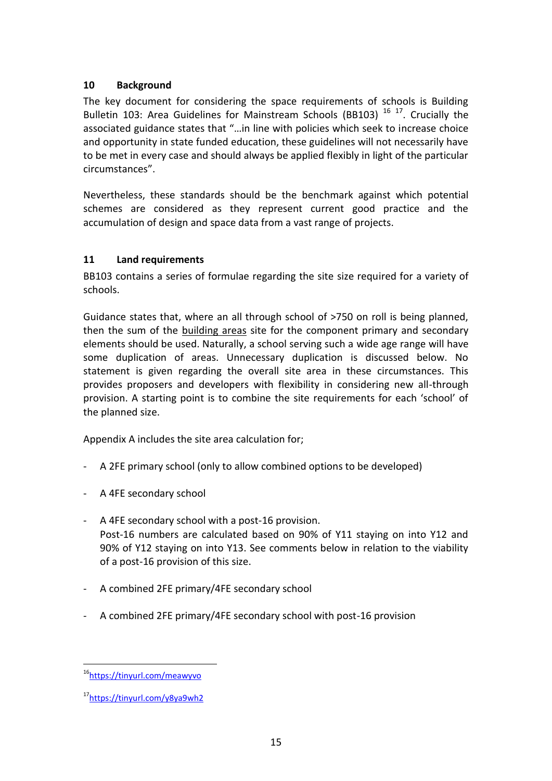# <span id="page-15-0"></span>**10 Background**

The key document for considering the space requirements of schools is Building Bulletin 103: Area Guidelines for Mainstream Schools (BB103)  $16$  17. Crucially the associated guidance states that "…in line with policies which seek to increase choice and opportunity in state funded education, these guidelines will not necessarily have to be met in every case and should always be applied flexibly in light of the particular circumstances".

Nevertheless, these standards should be the benchmark against which potential schemes are considered as they represent current good practice and the accumulation of design and space data from a vast range of projects.

# <span id="page-15-1"></span>**11 Land requirements**

BB103 contains a series of formulae regarding the site size required for a variety of schools.

Guidance states that, where an all through school of >750 on roll is being planned, then the sum of the building areas site for the component primary and secondary elements should be used. Naturally, a school serving such a wide age range will have some duplication of areas. Unnecessary duplication is discussed below. No statement is given regarding the overall site area in these circumstances. This provides proposers and developers with flexibility in considering new all-through provision. A starting point is to combine the site requirements for each 'school' of the planned size.

Appendix A includes the site area calculation for;

- A 2FE primary school (only to allow combined options to be developed)
- A 4FE secondary school
- A 4FE secondary school with a post-16 provision. Post-16 numbers are calculated based on 90% of Y11 staying on into Y12 and 90% of Y12 staying on into Y13. See comments below in relation to the viability of a post-16 provision of this size.
- A combined 2FE primary/4FE secondary school
- A combined 2FE primary/4FE secondary school with post-16 provision

<sup>16</sup><https://tinyurl.com/meawyvo>

<sup>17</sup><https://tinyurl.com/y8ya9wh2>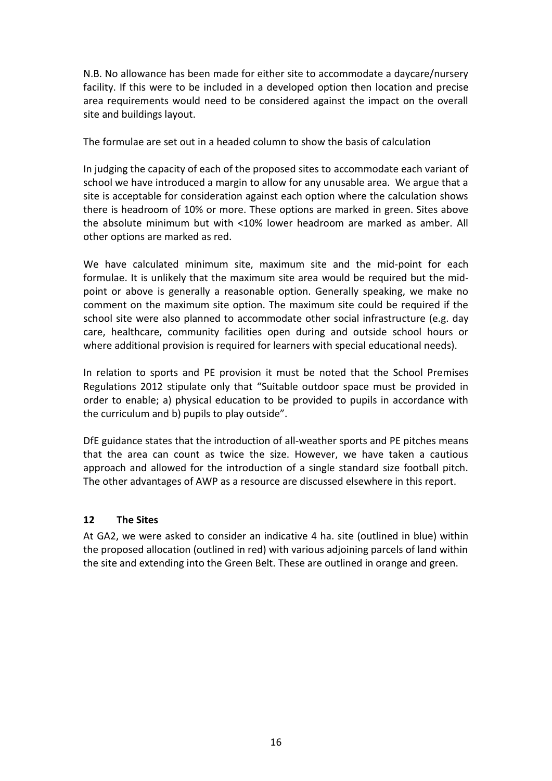N.B. No allowance has been made for either site to accommodate a daycare/nursery facility. If this were to be included in a developed option then location and precise area requirements would need to be considered against the impact on the overall site and buildings layout.

The formulae are set out in a headed column to show the basis of calculation

In judging the capacity of each of the proposed sites to accommodate each variant of school we have introduced a margin to allow for any unusable area. We argue that a site is acceptable for consideration against each option where the calculation shows there is headroom of 10% or more. These options are marked in green. Sites above the absolute minimum but with <10% lower headroom are marked as amber. All other options are marked as red.

We have calculated minimum site, maximum site and the mid-point for each formulae. It is unlikely that the maximum site area would be required but the midpoint or above is generally a reasonable option. Generally speaking, we make no comment on the maximum site option. The maximum site could be required if the school site were also planned to accommodate other social infrastructure (e.g. day care, healthcare, community facilities open during and outside school hours or where additional provision is required for learners with special educational needs).

In relation to sports and PE provision it must be noted that the School Premises Regulations 2012 stipulate only that "Suitable outdoor space must be provided in order to enable; a) physical education to be provided to pupils in accordance with the curriculum and b) pupils to play outside".

DfE guidance states that the introduction of all-weather sports and PE pitches means that the area can count as twice the size. However, we have taken a cautious approach and allowed for the introduction of a single standard size football pitch. The other advantages of AWP as a resource are discussed elsewhere in this report.

## <span id="page-16-0"></span>**12 The Sites**

At GA2, we were asked to consider an indicative 4 ha. site (outlined in blue) within the proposed allocation (outlined in red) with various adjoining parcels of land within the site and extending into the Green Belt. These are outlined in orange and green.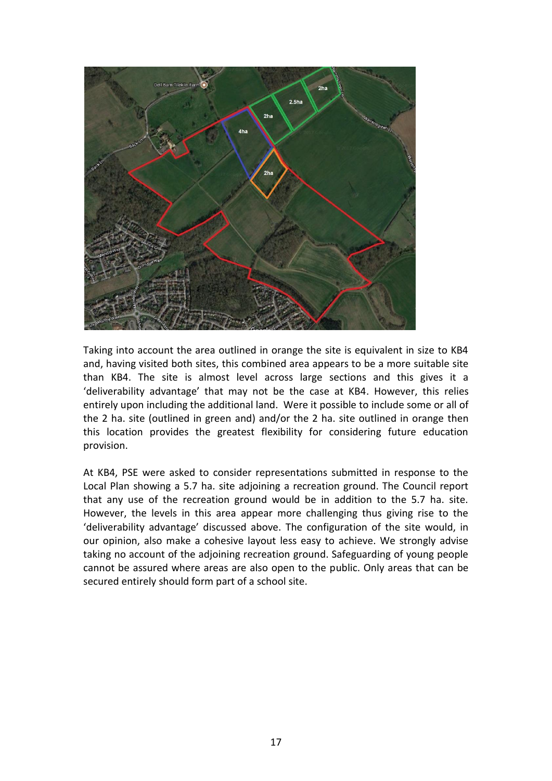

Taking into account the area outlined in orange the site is equivalent in size to KB4 and, having visited both sites, this combined area appears to be a more suitable site than KB4. The site is almost level across large sections and this gives it a 'deliverability advantage' that may not be the case at KB4. However, this relies entirely upon including the additional land. Were it possible to include some or all of the 2 ha. site (outlined in green and) and/or the 2 ha. site outlined in orange then this location provides the greatest flexibility for considering future education provision.

At KB4, PSE were asked to consider representations submitted in response to the Local Plan showing a 5.7 ha. site adjoining a recreation ground. The Council report that any use of the recreation ground would be in addition to the 5.7 ha. site. However, the levels in this area appear more challenging thus giving rise to the 'deliverability advantage' discussed above. The configuration of the site would, in our opinion, also make a cohesive layout less easy to achieve. We strongly advise taking no account of the adjoining recreation ground. Safeguarding of young people cannot be assured where areas are also open to the public. Only areas that can be secured entirely should form part of a school site.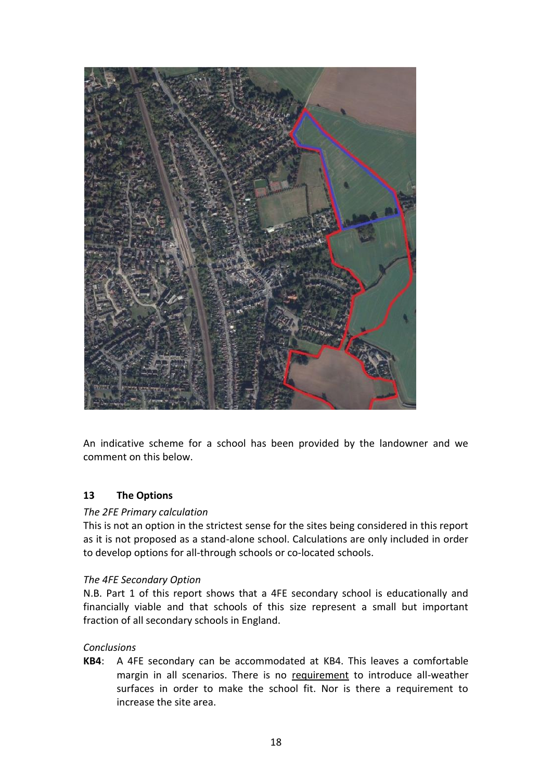

An indicative scheme for a school has been provided by the landowner and we comment on this below.

## <span id="page-18-0"></span>**13 The Options**

## *The 2FE Primary calculation*

This is not an option in the strictest sense for the sites being considered in this report as it is not proposed as a stand-alone school. Calculations are only included in order to develop options for all-through schools or co-located schools.

## *The 4FE Secondary Option*

N.B. Part 1 of this report shows that a 4FE secondary school is educationally and financially viable and that schools of this size represent a small but important fraction of all secondary schools in England.

#### *Conclusions*

**KB4**: A 4FE secondary can be accommodated at KB4. This leaves a comfortable margin in all scenarios. There is no requirement to introduce all-weather surfaces in order to make the school fit. Nor is there a requirement to increase the site area.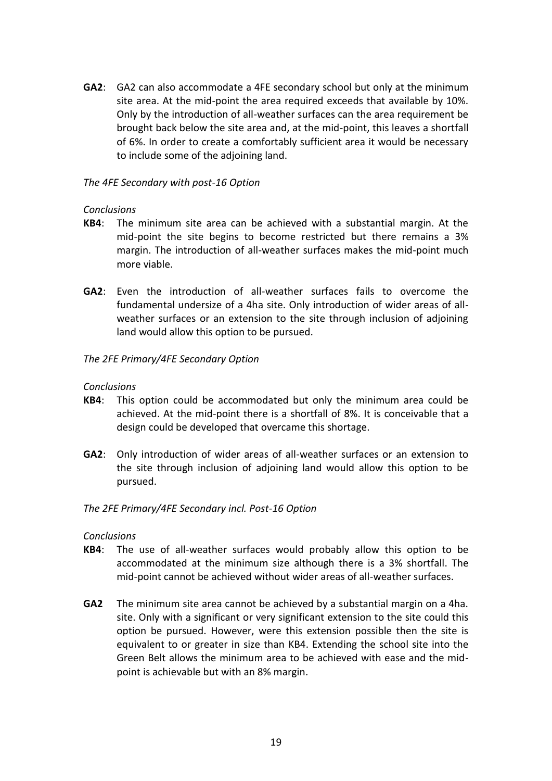**GA2**: GA2 can also accommodate a 4FE secondary school but only at the minimum site area. At the mid-point the area required exceeds that available by 10%. Only by the introduction of all-weather surfaces can the area requirement be brought back below the site area and, at the mid-point, this leaves a shortfall of 6%. In order to create a comfortably sufficient area it would be necessary to include some of the adjoining land.

#### *The 4FE Secondary with post-16 Option*

#### *Conclusions*

- **KB4**: The minimum site area can be achieved with a substantial margin. At the mid-point the site begins to become restricted but there remains a 3% margin. The introduction of all-weather surfaces makes the mid-point much more viable.
- **GA2**: Even the introduction of all-weather surfaces fails to overcome the fundamental undersize of a 4ha site. Only introduction of wider areas of allweather surfaces or an extension to the site through inclusion of adjoining land would allow this option to be pursued.

#### *The 2FE Primary/4FE Secondary Option*

#### *Conclusions*

- **KB4**: This option could be accommodated but only the minimum area could be achieved. At the mid-point there is a shortfall of 8%. It is conceivable that a design could be developed that overcame this shortage.
- **GA2**: Only introduction of wider areas of all-weather surfaces or an extension to the site through inclusion of adjoining land would allow this option to be pursued.

#### *The 2FE Primary/4FE Secondary incl. Post-16 Option*

*Conclusions*

- **KB4**: The use of all-weather surfaces would probably allow this option to be accommodated at the minimum size although there is a 3% shortfall. The mid-point cannot be achieved without wider areas of all-weather surfaces.
- **GA2** The minimum site area cannot be achieved by a substantial margin on a 4ha. site. Only with a significant or very significant extension to the site could this option be pursued. However, were this extension possible then the site is equivalent to or greater in size than KB4. Extending the school site into the Green Belt allows the minimum area to be achieved with ease and the midpoint is achievable but with an 8% margin.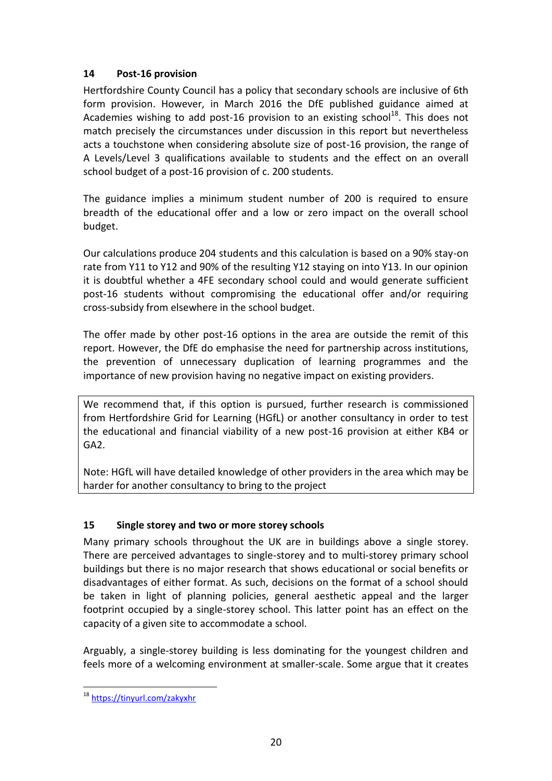# <span id="page-20-0"></span>**14 Post-16 provision**

Hertfordshire County Council has a policy that secondary schools are inclusive of 6th form provision. However, in March 2016 the DfE published guidance aimed at Academies wishing to add post-16 provision to an existing school<sup>18</sup>. This does not match precisely the circumstances under discussion in this report but nevertheless acts a touchstone when considering absolute size of post-16 provision, the range of A Levels/Level 3 qualifications available to students and the effect on an overall school budget of a post-16 provision of c. 200 students.

The guidance implies a minimum student number of 200 is required to ensure breadth of the educational offer and a low or zero impact on the overall school budget.

Our calculations produce 204 students and this calculation is based on a 90% stay-on rate from Y11 to Y12 and 90% of the resulting Y12 staying on into Y13. In our opinion it is doubtful whether a 4FE secondary school could and would generate sufficient post-16 students without compromising the educational offer and/or requiring cross-subsidy from elsewhere in the school budget.

The offer made by other post-16 options in the area are outside the remit of this report. However, the DfE do emphasise the need for partnership across institutions, the prevention of unnecessary duplication of learning programmes and the importance of new provision having no negative impact on existing providers.

We recommend that, if this option is pursued, further research is commissioned from Hertfordshire Grid for Learning (HGfL) or another consultancy in order to test the educational and financial viability of a new post-16 provision at either KB4 or GA2.

Note: HGfL will have detailed knowledge of other providers in the area which may be harder for another consultancy to bring to the project

# <span id="page-20-1"></span>**15 Single storey and two or more storey schools**

Many primary schools throughout the UK are in buildings above a single storey. There are perceived advantages to single-storey and to multi-storey primary school buildings but there is no major research that shows educational or social benefits or disadvantages of either format. As such, decisions on the format of a school should be taken in light of planning policies, general aesthetic appeal and the larger footprint occupied by a single-storey school. This latter point has an effect on the capacity of a given site to accommodate a school.

Arguably, a single-storey building is less dominating for the youngest children and feels more of a welcoming environment at smaller-scale. Some argue that it creates

<sup>18</sup> <https://tinyurl.com/zakyxhr>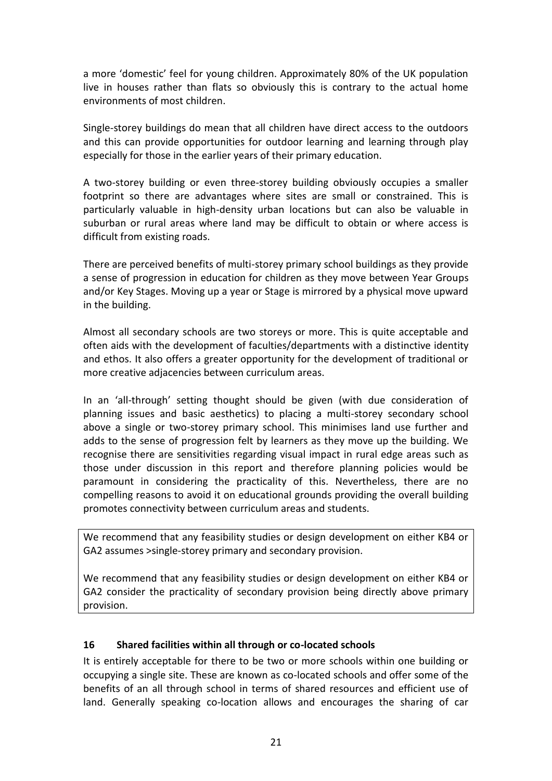a more 'domestic' feel for young children. Approximately 80% of the UK population live in houses rather than flats so obviously this is contrary to the actual home environments of most children.

Single-storey buildings do mean that all children have direct access to the outdoors and this can provide opportunities for outdoor learning and learning through play especially for those in the earlier years of their primary education.

A two-storey building or even three-storey building obviously occupies a smaller footprint so there are advantages where sites are small or constrained. This is particularly valuable in high-density urban locations but can also be valuable in suburban or rural areas where land may be difficult to obtain or where access is difficult from existing roads.

There are perceived benefits of multi-storey primary school buildings as they provide a sense of progression in education for children as they move between Year Groups and/or Key Stages. Moving up a year or Stage is mirrored by a physical move upward in the building.

Almost all secondary schools are two storeys or more. This is quite acceptable and often aids with the development of faculties/departments with a distinctive identity and ethos. It also offers a greater opportunity for the development of traditional or more creative adjacencies between curriculum areas.

In an 'all-through' setting thought should be given (with due consideration of planning issues and basic aesthetics) to placing a multi-storey secondary school above a single or two-storey primary school. This minimises land use further and adds to the sense of progression felt by learners as they move up the building. We recognise there are sensitivities regarding visual impact in rural edge areas such as those under discussion in this report and therefore planning policies would be paramount in considering the practicality of this. Nevertheless, there are no compelling reasons to avoid it on educational grounds providing the overall building promotes connectivity between curriculum areas and students.

We recommend that any feasibility studies or design development on either KB4 or GA2 assumes >single-storey primary and secondary provision.

We recommend that any feasibility studies or design development on either KB4 or GA2 consider the practicality of secondary provision being directly above primary provision.

## <span id="page-21-0"></span>**16 Shared facilities within all through or co-located schools**

It is entirely acceptable for there to be two or more schools within one building or occupying a single site. These are known as co-located schools and offer some of the benefits of an all through school in terms of shared resources and efficient use of land. Generally speaking co-location allows and encourages the sharing of car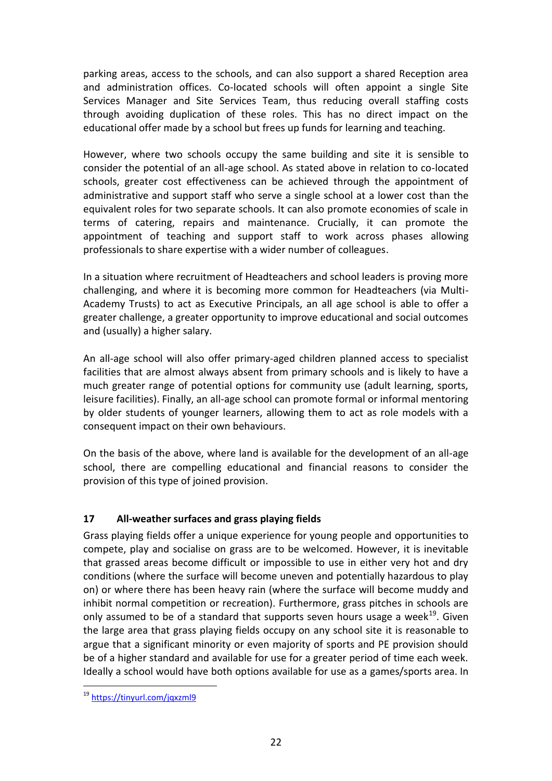parking areas, access to the schools, and can also support a shared Reception area and administration offices. Co-located schools will often appoint a single Site Services Manager and Site Services Team, thus reducing overall staffing costs through avoiding duplication of these roles. This has no direct impact on the educational offer made by a school but frees up funds for learning and teaching.

However, where two schools occupy the same building and site it is sensible to consider the potential of an all-age school. As stated above in relation to co-located schools, greater cost effectiveness can be achieved through the appointment of administrative and support staff who serve a single school at a lower cost than the equivalent roles for two separate schools. It can also promote economies of scale in terms of catering, repairs and maintenance. Crucially, it can promote the appointment of teaching and support staff to work across phases allowing professionals to share expertise with a wider number of colleagues.

In a situation where recruitment of Headteachers and school leaders is proving more challenging, and where it is becoming more common for Headteachers (via Multi-Academy Trusts) to act as Executive Principals, an all age school is able to offer a greater challenge, a greater opportunity to improve educational and social outcomes and (usually) a higher salary.

An all-age school will also offer primary-aged children planned access to specialist facilities that are almost always absent from primary schools and is likely to have a much greater range of potential options for community use (adult learning, sports, leisure facilities). Finally, an all-age school can promote formal or informal mentoring by older students of younger learners, allowing them to act as role models with a consequent impact on their own behaviours.

On the basis of the above, where land is available for the development of an all-age school, there are compelling educational and financial reasons to consider the provision of this type of joined provision.

# <span id="page-22-0"></span>**17 All-weather surfaces and grass playing fields**

Grass playing fields offer a unique experience for young people and opportunities to compete, play and socialise on grass are to be welcomed. However, it is inevitable that grassed areas become difficult or impossible to use in either very hot and dry conditions (where the surface will become uneven and potentially hazardous to play on) or where there has been heavy rain (where the surface will become muddy and inhibit normal competition or recreation). Furthermore, grass pitches in schools are only assumed to be of a standard that supports seven hours usage a week $^{19}$ . Given the large area that grass playing fields occupy on any school site it is reasonable to argue that a significant minority or even majority of sports and PE provision should be of a higher standard and available for use for a greater period of time each week. Ideally a school would have both options available for use as a games/sports area. In

<sup>19</sup> <https://tinyurl.com/jqxzml9>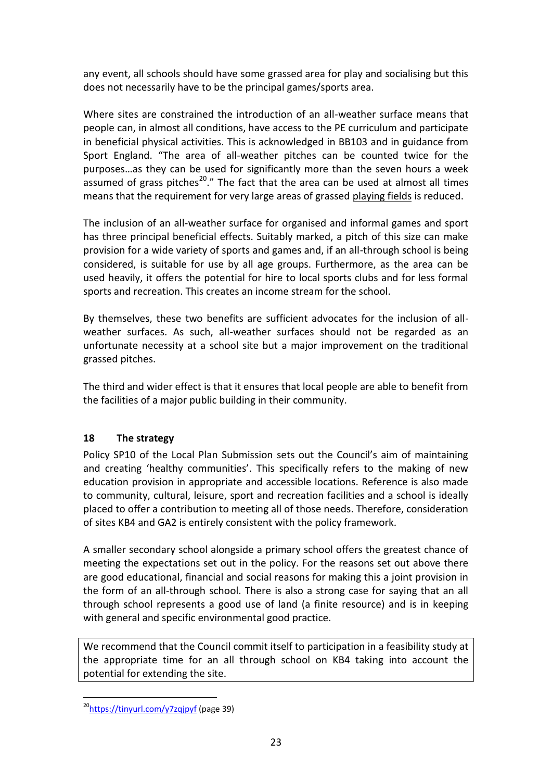any event, all schools should have some grassed area for play and socialising but this does not necessarily have to be the principal games/sports area.

Where sites are constrained the introduction of an all-weather surface means that people can, in almost all conditions, have access to the PE curriculum and participate in beneficial physical activities. This is acknowledged in BB103 and in guidance from Sport England. "The area of all-weather pitches can be counted twice for the purposes…as they can be used for significantly more than the seven hours a week assumed of grass pitches<sup>20</sup>." The fact that the area can be used at almost all times means that the requirement for very large areas of grassed playing fields is reduced.

The inclusion of an all-weather surface for organised and informal games and sport has three principal beneficial effects. Suitably marked, a pitch of this size can make provision for a wide variety of sports and games and, if an all-through school is being considered, is suitable for use by all age groups. Furthermore, as the area can be used heavily, it offers the potential for hire to local sports clubs and for less formal sports and recreation. This creates an income stream for the school.

By themselves, these two benefits are sufficient advocates for the inclusion of allweather surfaces. As such, all-weather surfaces should not be regarded as an unfortunate necessity at a school site but a major improvement on the traditional grassed pitches.

The third and wider effect is that it ensures that local people are able to benefit from the facilities of a major public building in their community.

# <span id="page-23-0"></span>**18 The strategy**

Policy SP10 of the Local Plan Submission sets out the Council's aim of maintaining and creating 'healthy communities'. This specifically refers to the making of new education provision in appropriate and accessible locations. Reference is also made to community, cultural, leisure, sport and recreation facilities and a school is ideally placed to offer a contribution to meeting all of those needs. Therefore, consideration of sites KB4 and GA2 is entirely consistent with the policy framework.

A smaller secondary school alongside a primary school offers the greatest chance of meeting the expectations set out in the policy. For the reasons set out above there are good educational, financial and social reasons for making this a joint provision in the form of an all-through school. There is also a strong case for saying that an all through school represents a good use of land (a finite resource) and is in keeping with general and specific environmental good practice.

We recommend that the Council commit itself to participation in a feasibility study at the appropriate time for an all through school on KB4 taking into account the potential for extending the site.

<sup>&</sup>lt;sup>20</sup>https://tinyurl.com/y7zqipyf (page 39)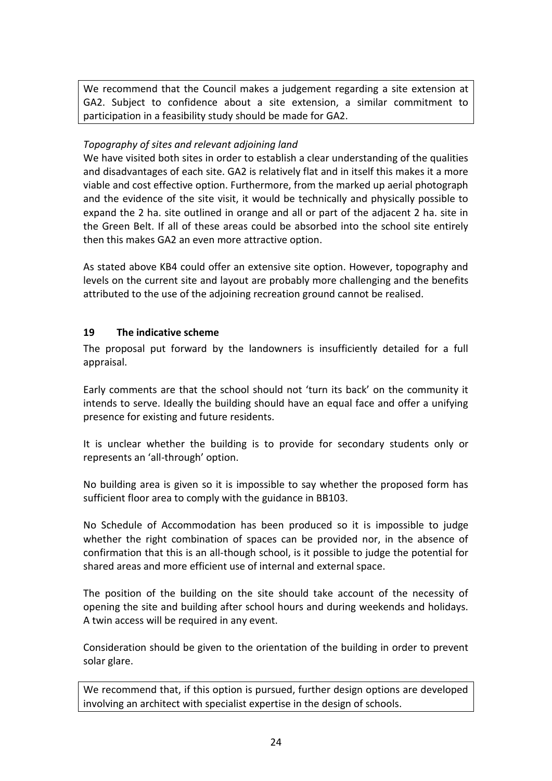We recommend that the Council makes a judgement regarding a site extension at GA2. Subject to confidence about a site extension, a similar commitment to participation in a feasibility study should be made for GA2.

# *Topography of sites and relevant adjoining land*

We have visited both sites in order to establish a clear understanding of the qualities and disadvantages of each site. GA2 is relatively flat and in itself this makes it a more viable and cost effective option. Furthermore, from the marked up aerial photograph and the evidence of the site visit, it would be technically and physically possible to expand the 2 ha. site outlined in orange and all or part of the adjacent 2 ha. site in the Green Belt. If all of these areas could be absorbed into the school site entirely then this makes GA2 an even more attractive option.

As stated above KB4 could offer an extensive site option. However, topography and levels on the current site and layout are probably more challenging and the benefits attributed to the use of the adjoining recreation ground cannot be realised.

## <span id="page-24-0"></span>**19 The indicative scheme**

The proposal put forward by the landowners is insufficiently detailed for a full appraisal.

Early comments are that the school should not 'turn its back' on the community it intends to serve. Ideally the building should have an equal face and offer a unifying presence for existing and future residents.

It is unclear whether the building is to provide for secondary students only or represents an 'all-through' option.

No building area is given so it is impossible to say whether the proposed form has sufficient floor area to comply with the guidance in BB103.

No Schedule of Accommodation has been produced so it is impossible to judge whether the right combination of spaces can be provided nor, in the absence of confirmation that this is an all-though school, is it possible to judge the potential for shared areas and more efficient use of internal and external space.

The position of the building on the site should take account of the necessity of opening the site and building after school hours and during weekends and holidays. A twin access will be required in any event.

Consideration should be given to the orientation of the building in order to prevent solar glare.

We recommend that, if this option is pursued, further design options are developed involving an architect with specialist expertise in the design of schools.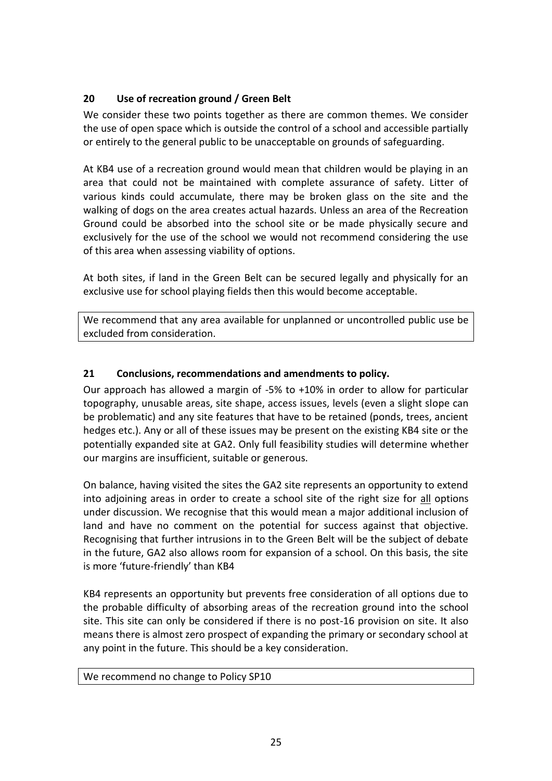# <span id="page-25-0"></span>**20 Use of recreation ground / Green Belt**

We consider these two points together as there are common themes. We consider the use of open space which is outside the control of a school and accessible partially or entirely to the general public to be unacceptable on grounds of safeguarding.

At KB4 use of a recreation ground would mean that children would be playing in an area that could not be maintained with complete assurance of safety. Litter of various kinds could accumulate, there may be broken glass on the site and the walking of dogs on the area creates actual hazards. Unless an area of the Recreation Ground could be absorbed into the school site or be made physically secure and exclusively for the use of the school we would not recommend considering the use of this area when assessing viability of options.

At both sites, if land in the Green Belt can be secured legally and physically for an exclusive use for school playing fields then this would become acceptable.

We recommend that any area available for unplanned or uncontrolled public use be excluded from consideration.

# <span id="page-25-1"></span>**21 Conclusions, recommendations and amendments to policy.**

Our approach has allowed a margin of -5% to +10% in order to allow for particular topography, unusable areas, site shape, access issues, levels (even a slight slope can be problematic) and any site features that have to be retained (ponds, trees, ancient hedges etc.). Any or all of these issues may be present on the existing KB4 site or the potentially expanded site at GA2. Only full feasibility studies will determine whether our margins are insufficient, suitable or generous.

On balance, having visited the sites the GA2 site represents an opportunity to extend into adjoining areas in order to create a school site of the right size for all options under discussion. We recognise that this would mean a major additional inclusion of land and have no comment on the potential for success against that objective. Recognising that further intrusions in to the Green Belt will be the subject of debate in the future, GA2 also allows room for expansion of a school. On this basis, the site is more 'future-friendly' than KB4

KB4 represents an opportunity but prevents free consideration of all options due to the probable difficulty of absorbing areas of the recreation ground into the school site. This site can only be considered if there is no post-16 provision on site. It also means there is almost zero prospect of expanding the primary or secondary school at any point in the future. This should be a key consideration.

We recommend no change to Policy SP10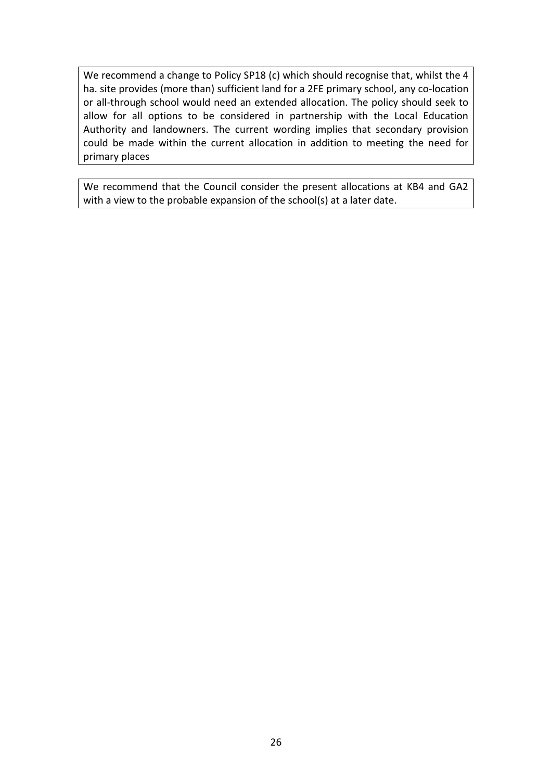We recommend a change to Policy SP18 (c) which should recognise that, whilst the 4 ha. site provides (more than) sufficient land for a 2FE primary school, any co-location or all-through school would need an extended allocation. The policy should seek to allow for all options to be considered in partnership with the Local Education Authority and landowners. The current wording implies that secondary provision could be made within the current allocation in addition to meeting the need for primary places

We recommend that the Council consider the present allocations at KB4 and GA2 with a view to the probable expansion of the school(s) at a later date.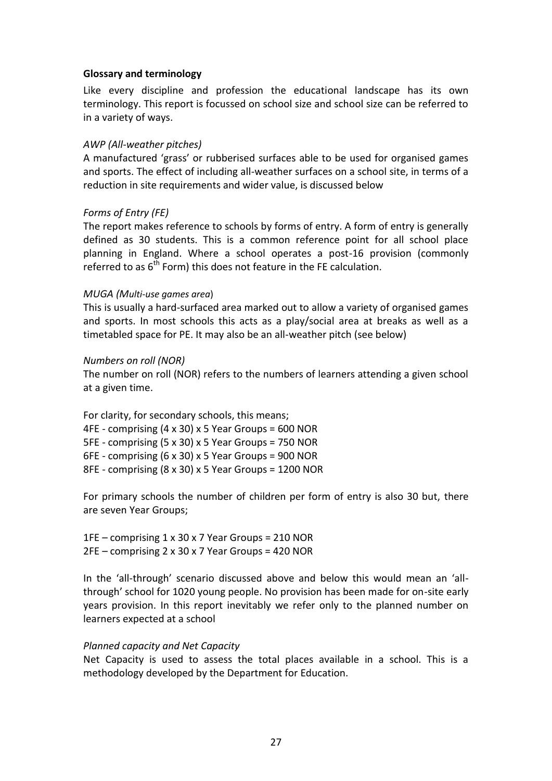#### <span id="page-27-0"></span>**Glossary and terminology**

Like every discipline and profession the educational landscape has its own terminology. This report is focussed on school size and school size can be referred to in a variety of ways.

#### *AWP (All-weather pitches)*

A manufactured 'grass' or rubberised surfaces able to be used for organised games and sports. The effect of including all-weather surfaces on a school site, in terms of a reduction in site requirements and wider value, is discussed below

#### *Forms of Entry (FE)*

The report makes reference to schools by forms of entry. A form of entry is generally defined as 30 students. This is a common reference point for all school place planning in England. Where a school operates a post-16 provision (commonly referred to as  $6<sup>th</sup>$  Form) this does not feature in the FE calculation.

#### *MUGA (Multi-use games area*)

This is usually a hard-surfaced area marked out to allow a variety of organised games and sports. In most schools this acts as a play/social area at breaks as well as a timetabled space for PE. It may also be an all-weather pitch (see below)

#### *Numbers on roll (NOR)*

The number on roll (NOR) refers to the numbers of learners attending a given school at a given time.

For clarity, for secondary schools, this means; 4FE - comprising (4 x 30) x 5 Year Groups = 600 NOR 5FE - comprising (5 x 30) x 5 Year Groups = 750 NOR 6FE - comprising (6 x 30) x 5 Year Groups = 900 NOR 8FE - comprising (8 x 30) x 5 Year Groups = 1200 NOR

For primary schools the number of children per form of entry is also 30 but, there are seven Year Groups;

1FE – comprising 1 x 30 x 7 Year Groups = 210 NOR 2FE – comprising 2 x 30 x 7 Year Groups = 420 NOR

In the 'all-through' scenario discussed above and below this would mean an 'allthrough' school for 1020 young people. No provision has been made for on-site early years provision. In this report inevitably we refer only to the planned number on learners expected at a school

#### *Planned capacity and Net Capacity*

Net Capacity is used to assess the total places available in a school. This is a methodology developed by the Department for Education.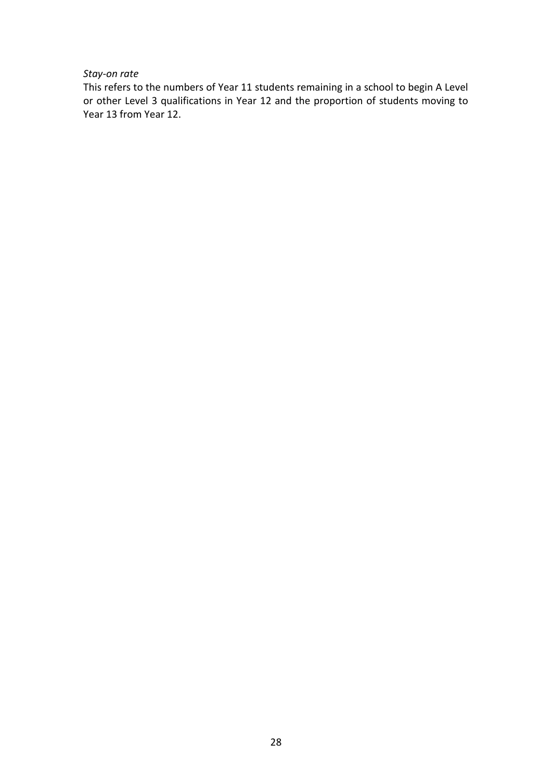#### *Stay-on rate*

This refers to the numbers of Year 11 students remaining in a school to begin A Level or other Level 3 qualifications in Year 12 and the proportion of students moving to Year 13 from Year 12.